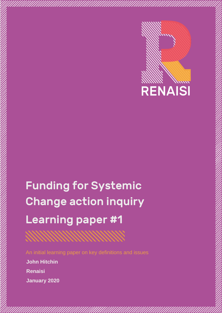

# Funding for Systemic Change action inquiry Learning paper #1

An initial learning paper on key definitions and issues **John Hitchin Renaisi**

**January 2020**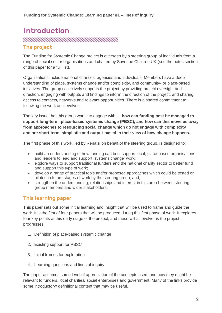# Introduction **MANAHANAHANAHANAHANAHANAHANAHANA**

#### The project

The Funding for Systemic Change project is overseen by a steering group of individuals from a range of social sector organisations and chaired by Save the Children UK (see the notes section of this paper for a full list).

Organisations include national charities, agencies and individuals. Members have a deep understanding of place, systems change and/or complexity, and community- or place-based initiatives. The group collectively supports the project by providing project oversight and direction, engaging with outputs and findings to inform the direction of the project, and sharing access to contacts, networks and relevant opportunities. There is a shared commitment to following the work as it evolves.

The key issue that this group wants to engage with is: **how can funding best be managed to support long-term, place-based systemic change (PBSC), and how can this move us away from approaches to resourcing social change which do not engage with complexity and are short-term, simplistic and output-based in their view of how change happens.**

The first phase of this work, led by Renaisi on behalf of the steering group, is designed to:

- build an understanding of how funding can best support local, place-based organisations and leaders to lead and support 'systems change' work;
- explore ways to support traditional funders and the national charity sector to better fund and support this type of work;
- develop a range of practical tools and/or proposed approaches which could be tested or piloted in future stages of work by the steering group; and,
- strengthen the understanding, relationships and interest in this area between steering group members and wider stakeholders.

#### This learning paper

This paper sets out some initial learning and insight that will be used to frame and guide the work. It is the first of four papers that will be produced during this first phase of work. It explores four key points at this early stage of the project, and these will all evolve as the project progresses:

- 1. Definition of place-based systemic change
- 2. Existing support for PBSC
- 3. Initial frames for exploration
- 4. Learning questions and lines of inquiry

The paper assumes some level of appreciation of the concepts used, and how they might be relevant to funders, local charities/ social enterprises and government. Many of the links provide some introductory/ definitional content that may be useful.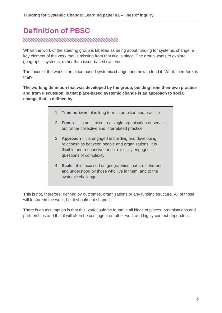# Definition of PBSC **RANDAM MANAHAM MANAHAM MANAHAMARA SERINAN MANAHARA SERINA MANAHARA SERINA MANAHARA SERINA MANAHARA SERINA MANA**

Whilst the work of the steering group is labelled as being about funding for systemic change, a key element of the work that is missing from that title is place. The group wants to explore geographic systems, rather than issue-based systems.

The focus of the work is on place-based systemic change, and how to fund it. What, therefore, is that?

**The working definition that was developed by the group, building from their own practice and from discussion, is that place-based systemic change is an approach to social change that is defined by:** 

- 1. **Time horizon** it is long term in ambition and practice
- 2. **Focus** it is not limited to a single organisation or service, but rather collective and interrelated practice
- 3. **Approach** it is engaged in building and developing relationships between people and organisations, it is flexible and responsive, and it explicitly engages in questions of complexity
- 4. **Scale** it is focussed on geographies that are coherent and understood by those who live in them, and to the systemic challenge.

This is not, therefore, defined by outcomes, organisations or any funding structure. All of those will feature in the work, but it should not shape it.

There is an assumption is that this work could be found in all kinds of places, organisations and partnerships and that it will often be contingent on other work and highly context-dependent.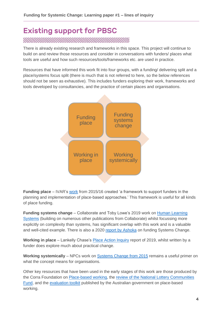# Existing support for PBSC

There is already existing research and frameworks in this space. This project will continue to build on and review those resources and consider in conversations with funders/ places what tools are useful and how such resources/tools/frameworks etc. are used in practice.

Resources that have informed this work fit into four groups, with a funding/ delivering split and a place/systems focus split (there is much that is not referred to here, so the below references should not be seen as exhaustive). This includes funders exploring their work, frameworks and tools developed by consultancies, and the practice of certain places and organisations.



**Funding place** – IVAR's [work](https://www.ivar.org.uk/research-report/working-in-place/) from 2015/16 created 'a framework to support funders in the planning and implementation of place-based approaches.' This framework is useful for all kinds of place funding.

**Funding systems change** – Collaborate and Toby Lowe's 2019 work on [Human Learning](https://collaboratecic.com/exploring-the-new-world-practical-insights-for-funding-commissioning-and-managing-in-complexity-20a0c53b89aa)  [Systems](https://collaboratecic.com/exploring-the-new-world-practical-insights-for-funding-commissioning-and-managing-in-complexity-20a0c53b89aa) (building on numerous other publications from Collaborate) whilst focussing more explicitly on complexity than systems, has significant overlap with this work and is a valuable and well-cited example. There is also a 2020 [report by Ashoka](https://www.ashoka.org/en/embracing-complexity) on funding Systems Change.

**Working in place** – Lankelly Chase's [Place Action Inquiry](https://lankellychase.org.uk/resources/publications/place-action-inquiry-our-learning-to-date/) report of 2019, whilst written by a funder does explore much about practical change.

**Working systemically** – NPCs work on [Systems Change from 2015](https://www.thinknpc.org/resource-hub/systems-change-a-guide-to-what-it-is-and-how-to-do-it/) remains a useful primer on what the concept means for organisations.

Other key resources that have been used in the early stages of this work are those produced by the Corra Foundation on [Place-based working,](https://www.corra.scot/place-based-working/place-based-working-project/) the review of the National Lottery Communities [Fund,](https://www.tnlcommunityfund.org.uk/insights/place-based-working) and the [evaluation toolkit](https://www.dss.gov.au/new-framework-and-toolkit-for-evaluating-place-based-delivery-approaches) published by the Australian government on place-based working.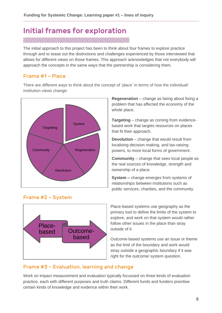# Initial frames for exploration

The initial approach to this project has been to think about four frames to explore practice

through and to tease out the distinctions and challenges experienced by those interviewed that allows for different views on those frames. This approach acknowledges that not everybody will approach the concepts in the same ways that the partnership is considering them.

#### Frame #1 – Place

There are different ways to think about the concept of 'place' in terms of how the individual/ institution views change:



**Regeneration** – change as being about fixing a problem that has affected the economy of the whole place.

**Targeting** – change as coming from evidencebased work that targets resources on places that fit their approach.

**Devolution** – change that would result from localising decision making, and tax-raising powers, to more local forms of government.

**Community** – change that sees local people as the real sources of knowledge, strength and ownership of a place.

**System –** change emerges from systems of relationships between institutions such as public services, charities, and the community.



Place-based systems use geography as the primary tool to define the limits of the system to explore, and work on that system would rather follow other issues in the place than stray

outside of it.

Outcome-based systems use an issue or theme as the limit of the boundary and work would stray outside a geographic boundary if it was right for the outcome/ system question.

#### Frame #3 – Evaluation, learning and change

Work on impact measurement and evaluation typically focussed on three kinds of evaluation practice, each with different purposes and truth claims. Different funds and funders prioritise certain kinds of knowledge and evidence within their work.

## Frame #2 – System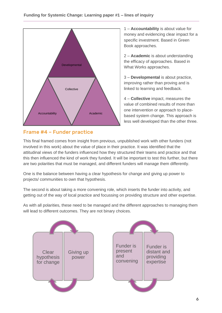

### Frame #4 – Funder practice

1 – **Accountability** is about value for money and evidencing clear impact for a specific investment. Based in Green Book approaches.

2 – **Academic** is about understanding the efficacy of approaches. Based in What Works approaches.

3 – **Developmental** is about practice, improving rather than proving and is linked to learning and feedback.

4 – **Collective** impact, measures the value of combined results of more than one intervention or approach to placebased system change. This approach is less well developed than the other three.

This final framed comes from insight from previous, unpublished work with other funders (not involved in this work) about the value of place in their practice. It was identified that the attitudinal views of the funders influenced how they structured their teams and practice and that this then influenced the kind of work they funded. It will be important to test this further, but there are two polarities that must be managed, and different funders will manage them differently.

One is the balance between having a clear hypothesis for change and giving up power to projects/ communities to own that hypothesis.

The second is about taking a more convening role, which inserts the funder into activity, and getting out of the way of local practice and focussing on providing structure and other expertise.

As with all polarities, these need to be managed and the different approaches to managing them will lead to different outcomes. They are not binary choices.

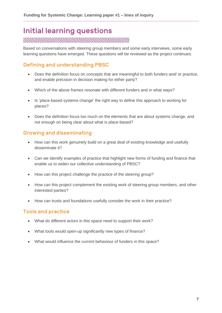## Initial learning questions

Based on conversations with steering group members and some early interviews, some early learning questions have emerged. These questions will be reviewed as the project continues.

#### Defining and understanding PBSC

- Does the definition focus on concepts that are meaningful to both funders and/ or practice, and enable precision in decision making for either party?
- Which of the above frames resonate with different funders and in what ways?
- Is 'place-based systems change' the right way to define this approach to working for places?
- Does the definition focus too much on the elements that are about systems change, and not enough on being clear about what is place-based?

#### Growing and disseminating

- How can this work genuinely build on a great deal of existing knowledge and usefully disseminate it?
- Can we identify examples of practice that highlight new forms of funding and finance that enable us to widen our collective understanding of PBSC?
- How can this project challenge the practice of the steering group?
- How can this project complement the existing work of steering group members, and other interested parties?
- How can trusts and foundations usefully consider the work in their practice?

#### Tools and practice

- What do different actors in this space need to support their work?
- What tools would open-up significantly new types of finance?
- What would influence the current behaviour of funders in this space?